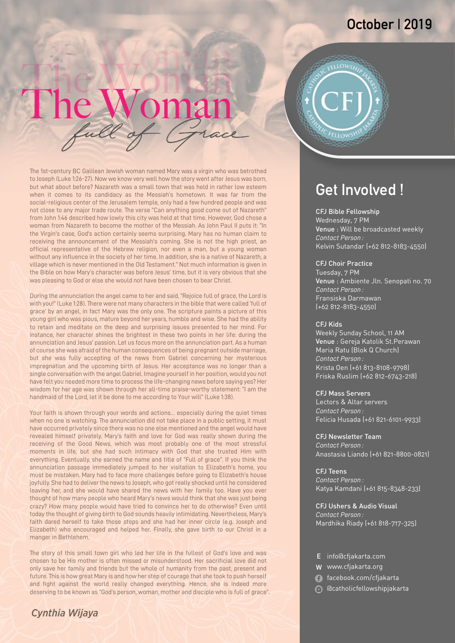### **October | 2019**

# The Woman E WOMAN

The 1st-century BC Galilean Jewish woman named Mary was a virgin who was betrothed to Joseph (Luke 1:26-27). Now we know very well how the story went after Jesus was born, but what about before? Nazareth was a small town that was held in rather low esteem when it comes to its candidacy as the Messiah's hometown. It was far from the social-religious center of the Jerusalem temple, only had a few hundred people and was not close to any major trade route. The verse "Can anything good come out of Nazareth" from John 1:46 described how lowly this city was held at that time. However, God chose a woman from Nazareth to become the mother of the Messiah. As John Paul II puts it: "In the Virgin's case, God's action certainly seems surprising. Mary has no human claim to receiving the announcement of the Messiah's coming. She is not the high priest, an official representative of the Hebrew religion, nor even a man, but a young woman without any influence in the society of her time. In addition, she is a native of Nazareth, a village which is never mentioned in the Old Testament." Not much information is given in the Bible on how Mary's character was before Jesus' time, but it is very obvious that she was pleasing to God or else she would not have been chosen to bear Christ.

During the annunciation the angel came to her and said, "Rejoice full of grace, the Lord is with you!" (Luke 1:28). There were not many characters in the bible that were called 'full of grace' by an angel, in fact Mary was the only one. The scripture paints a picture of this young girl who was pious, mature beyond her years, humble and wise. She had the ability to retain and meditate on the deep and surprising issues presented to her mind. For instance, her character shines the brightest in these two points in her life: during the annunciation and Jesus' passion. Let us focus more on the annunciation part. As a human of course she was afraid of the human consequences of being pregnant outside marriage, but she was fully accepting of the news from Gabriel concerning her mysterious impregnation and the upcoming birth of Jesus. Her acceptance was no longer than a single conversation with the angel Gabriel. Imagine yourself in her position, would you not have felt you needed more time to process the life-changing news before saying yes? Her wisdom for her age was shown through her all-time praise-worthy statement: "I am the handmaid of the Lord, let it be done to me according to Your will" (Luke 1:38).

Your faith is shown through your words and actions… especially during the quiet times when no one is watching. The annunciation did not take place in a public setting, it must have occurred privately since there was no one else mentioned and the angel would have revealed himself privately. Mary's faith and love for God was really shown during the receiving of the Good News, which was most probably one of the most stressful moments in life, but she had such intimacy with God that she trusted Him with everything. Eventually, she earned the name and title of "Full of grace". If you think the annunciation passage immediately jumped to her visitation to Elizabeth's home, you must be mistaken. Mary had to face more challenges before going to Elizabeth's house joyfully. She had to deliver the news to Joseph, who got really shocked until he considered leaving her, and she would have shared the news with her family too. Have you ever thought of how many people who heard Mary's news would think that she was just being crazy? How many people would have tried to convince her to do otherwise? Even until today the thought of giving birth to God sounds heavily intimidating. Nevertheless, Mary's faith dared herself to take those steps and she had her inner circle (e.g. Joseph and Elizabeth) who encouraged and helped her. Finally, she gave birth to our Christ in a manger in Bethlehem.

The story of this small town girl who led her life in the fullest of God's love and was chosen to be His mother is often missed or misunderstood. Her sacrificial love did not only save her family and friends but the whole of humanity from the past, present and future. This is how great Mary is and how her step of courage that she took to push herself and fight against the world really changed everything. Hence, she is indeed more deserving to be known as "God's person, woman, mother and disciple who is full of grace".

#### *Cynthia Wijaya*



### **Get Involved !**

#### CFJ Bible Fellowship

Wednesday, 7 PM Venue : Will be broadcasted weekly *Contact Person :* Kelvin Sutandar (+62 812-8183-4550)

#### CFJ Choir Practice

Tuesday, 7 PM Venue : Ambiente Jln. Senopati no. 70 *Contact Person :* Fransiska Darmawan (+62 812-8183-4550)

#### CFJ Kids

Weekly Sunday School, 11 AM Venue : Gereja Katolik St.Perawan *Contact Person :* Krista Oen (+61 813-8108-9798) Friska Ruslim (+62 812-6743-218) Maria Ratu (Blok Q Church)

#### CFJ Mass Servers

Lectors & Altar servers *Contact Person :* Felicia Husada (+61 821-6101-9933)

CFJ Newsletter Team *Contact Person :* Anastasia Liando (+61 821-8800-0821)

CFJ Teens *Contact Person :* Katya Kamdani (+61 815-8348-233)

CFJ Ushers & Audio Visual *Contact Person :* Mardhika Riady (+61 818-717-325)

- E info@cfjakarta.com
- W www.cfjakarta.org
- facebook.com/cfjakarta
- @catholicfellowshipjakarta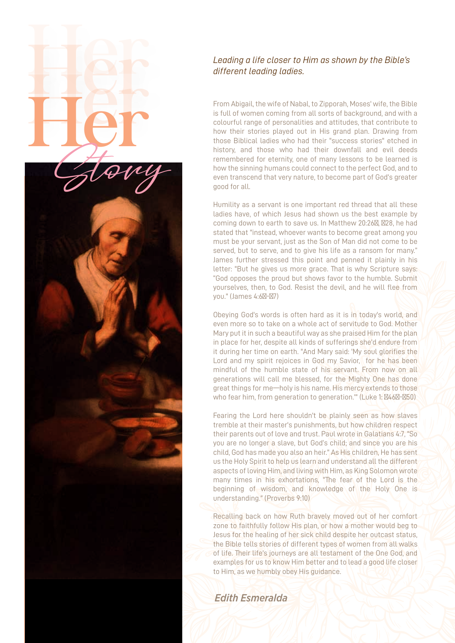#### *Leading a life closer to Him as shown by the Bible's different leading ladies.*

Her<br>Her

Her Story

From Abigail, the wife of Nabal, to Zipporah, Moses' wife, the Bible is full of women coming from all sorts of background, and with a colourful range of personalities and attitudes, that contribute to how their stories played out in His grand plan. Drawing from those Biblical ladies who had their "success stories" etched in history, and those who had their downfall and evil deeds remembered for eternity, one of many lessons to be learned is how the sinning humans could connect to the perfect God, and to even transcend that very nature, to become part of God's greater good for all.

Humility as a servant is one important red thread that all these ladies have, of which Jesus had shown us the best example by coming down to earth to save us. In Matthew 20:26 , 28, he had stated that "instead, whoever wants to become great among you must be your servant, just as the Son of Man did not come to be served, but to serve, and to give his life as a ransom for many." James further stressed this point and penned it plainly in his letter: "But he gives us more grace. That is why Scripture says: "God opposes the proud but shows favor to the humble. Submit yourselves, then, to God. Resist the devil, and he will flee from you." (James 4:6 - 7)

Obeying God's words is often hard as it is in today's world, and even more so to take on a whole act of servitude to God. Mother Mary put it in such a beautiful way as she praised Him for the plan in place for her, despite all kinds of sufferings she'd endure from it during her time on earth. "And Mary said: 'My soul glorifies the Lord and my spirit rejoices in God my Savior. for he has been mindful of the humble state of his servant. From now on all generations will call me blessed, for the Mighty One has done great things for me—holy is his name. His mercy extends to those who fear him, from generation to generation."" (Luke 1: 46 - 50)

Fearing the Lord here shouldn't be plainly seen as how slaves tremble at their master's punishments, but how children respect their parents out of love and trust. Paul wrote in Galatians 4:7, "So you are no longer a slave, but God's child; and since you are his child, God has made you also an heir." As His children, He has sent us the Holy Spirit to help us learn and understand all the different aspects of loving Him, and living with Him, as King Solomon wrote many times in his exhortations, "The fear of the Lord is the beginning of wisdom, and knowledge of the Holy One is understanding." (Proverbs 9:10)

Recalling back on how Ruth bravely moved out of her comfort zone to faithfully follow His plan, or how a mother would beg to Jesus for the healing of her sick child despite her outcast status, the Bible tells stories of different types of women from all walks of life. Their life's journeys are all testament of the One God, and examples for us to know Him better and to lead a good life closer to Him, as we humbly obey His guidance.

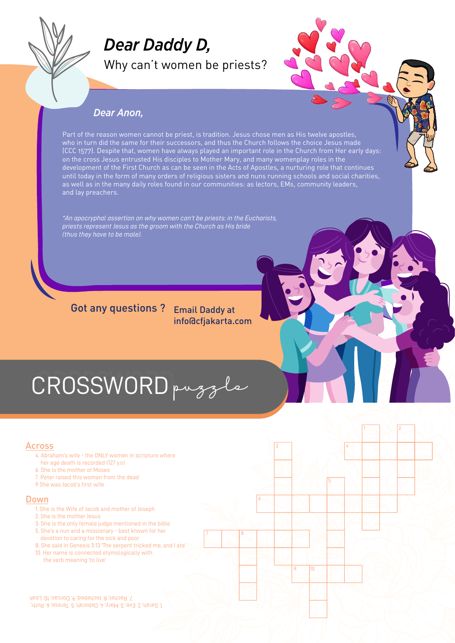

## *Dear Daddy D,*

Why can't women be priests?



1 2

4

3

6

7 8

#### *Dear Anon,*

Part of the reason women cannot be priest, is tradition. Jesus chose men as His twelve apostles, who in turn did the same for their successors, and thus the Church follows the choice Jesus made (CCC 1577). Despite that, women have always played an important role in the Church from Her early days: on the cross Jesus entrusted His disciples to Mother Mary, and many womenplay roles in the development of the First Church as can be seen in the Acts of Apostles, a nurturing role that continues until today in the form of many orders of religious sisters and nuns running schools and social charities, as well as in the many daily roles found in our communities: as lectors, EMs, community leaders, and lay preachers.

*\*An apocryphal assertion on why women can't be priests: in the Eucharists, priests represent Jesus as the groom with the Church as His bride (thus they have to be male).*

#### Got any questions ? Email Daddy at info@cfjakarta.com

# CROSSWORD puzzle

#### Across

- 4. Abraham's wife the ONLY women in scripture where her age death is recorded (127 y.o)
- 6. She is the mother of Moses
- 7. Peter raised this woman from the dead
- 9 She was Jacob's first wife

#### Down

- 1. She is the Wife of Jacob and mother of Joseph
- 2. She is the mother Jesus
- 3. She is the only female judge mentioned in the bible
- 5. She's a nun and a missionary best known for her
- devotion to caring for the sick and poor 8. She said in Genesis 3:13 'The serpent tricked me, and I ate'
- 10. Her name is connected etymologically with the verb meaning 'to live'

1, Sarah; 2. Eve; 3. Mary; 4. Deborah; 5. Teresa; 6. Ruth; 7. Rachel; 8. Jochebed; 9. Dorcas; 10. Leah